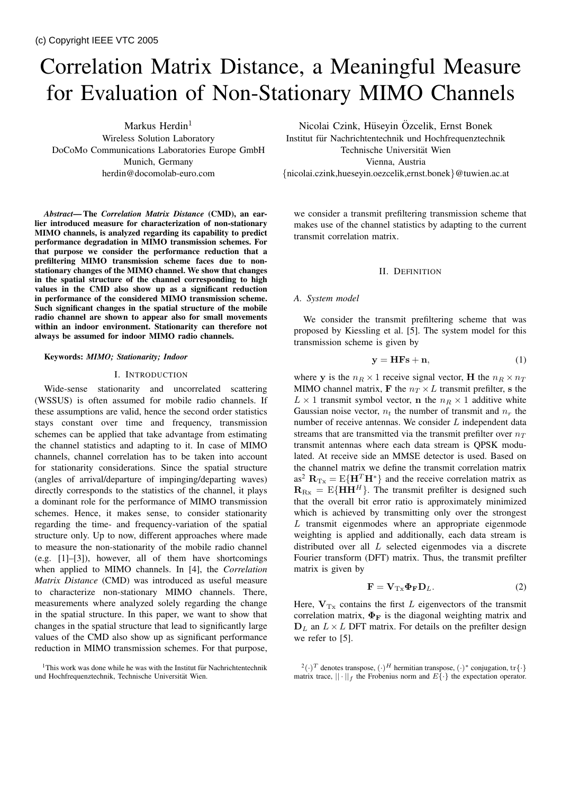# Correlation Matrix Distance, a Meaningful Measure for Evaluation of Non-Stationary MIMO Channels

Markus Herdin $1$ Wireless Solution Laboratory DoCoMo Communications Laboratories Europe GmbH Munich, Germany herdin@docomolab-euro.com

*Abstract***— The** *Correlation Matrix Distance* **(CMD), an earlier introduced measure for characterization of non-stationary MIMO channels, is analyzed regarding its capability to predict performance degradation in MIMO transmission schemes. For that purpose we consider the performance reduction that a prefiltering MIMO transmission scheme faces due to nonstationary changes of the MIMO channel. We show that changes in the spatial structure of the channel corresponding to high values in the CMD also show up as a significant reduction in performance of the considered MIMO transmission scheme. Such significant changes in the spatial structure of the mobile radio channel are shown to appear also for small movements within an indoor environment. Stationarity can therefore not always be assumed for indoor MIMO radio channels.**

## **Keywords:** *MIMO; Stationarity; Indoor*

## I. INTRODUCTION

Wide-sense stationarity and uncorrelated scattering (WSSUS) is often assumed for mobile radio channels. If these assumptions are valid, hence the second order statistics stays constant over time and frequency, transmission schemes can be applied that take advantage from estimating the channel statistics and adapting to it. In case of MIMO channels, channel correlation has to be taken into account for stationarity considerations. Since the spatial structure (angles of arrival/departure of impinging/departing waves) directly corresponds to the statistics of the channel, it plays a dominant role for the performance of MIMO transmission schemes. Hence, it makes sense, to consider stationarity regarding the time- and frequency-variation of the spatial structure only. Up to now, different approaches where made to measure the non-stationarity of the mobile radio channel (e.g. [1]–[3]), however, all of them have shortcomings when applied to MIMO channels. In [4], the *Correlation Matrix Distance* (CMD) was introduced as useful measure to characterize non-stationary MIMO channels. There, measurements where analyzed solely regarding the change in the spatial structure. In this paper, we want to show that changes in the spatial structure that lead to significantly large values of the CMD also show up as significant performance reduction in MIMO transmission schemes. For that purpose,

Nicolai Czink, Hüseyin Özcelik, Ernst Bonek Institut für Nachrichtentechnik und Hochfrequenztechnik Technische Universität Wien Vienna, Austria {nicolai.czink,hueseyin.oezcelik,ernst.bonek}@tuwien.ac.at

we consider a transmit prefiltering transmission scheme that makes use of the channel statistics by adapting to the current transmit correlation matrix.

## II. DEFINITION

# *A. System model*

We consider the transmit prefiltering scheme that was proposed by Kiessling et al. [5]. The system model for this transmission scheme is given by

$$
y = HFs + n,\tag{1}
$$

where **y** is the  $n_R \times 1$  receive signal vector, **H** the  $n_R \times n_T$ MIMO channel matrix, **F** the  $n_T \times L$  transmit prefilter, s the  $L \times 1$  transmit symbol vector, **n** the  $n_R \times 1$  additive white Gaussian noise vector,  $n_t$  the number of transmit and  $n_r$  the number of receive antennas. We consider L independent data streams that are transmitted via the transmit prefilter over  $n_T$ transmit antennas where each data stream is QPSK modulated. At receive side an MMSE detector is used. Based on the channel matrix we define the transmit correlation matrix as<sup>2</sup>  $\mathbf{R}_{\text{Tx}} = \text{E}\{\mathbf{H}^T\mathbf{H}^*\}$  and the receive correlation matrix as  $\mathbf{R}_{\text{Rx}} = \text{E}\{\mathbf{H}\mathbf{H}^H\}$ . The transmit prefilter is designed such that the overall bit error ratio is approximately minimized which is achieved by transmitting only over the strongest  $L$  transmit eigenmodes where an appropriate eigenmode weighting is applied and additionally, each data stream is distributed over all L selected eigenmodes via a discrete Fourier transform (DFT) matrix. Thus, the transmit prefilter matrix is given by

$$
\mathbf{F} = \mathbf{V}_{\mathrm{T}x} \mathbf{\Phi}_{\mathbf{F}} \mathbf{D}_L. \tag{2}
$$

Here,  $V_{Tx}$  contains the first L eigenvectors of the transmit correlation matrix,  $\Phi_F$  is the diagonal weighting matrix and  $D_L$  an  $L \times L$  DFT matrix. For details on the prefilter design we refer to [5].

 $1$ This work was done while he was with the Institut für Nachrichtentechnik und Hochfrequenztechnik, Technische Universität Wien.

<sup>2</sup>(*·*)*<sup>T</sup>* denotes transpose, (*·*)*<sup>H</sup>* hermitian transpose, (*·*)<sup>∗</sup> conjugation, tr*{·}* matrix trace,  $|| \cdot ||_f$  the Frobenius norm and  $E\{\cdot\}$  the expectation operator.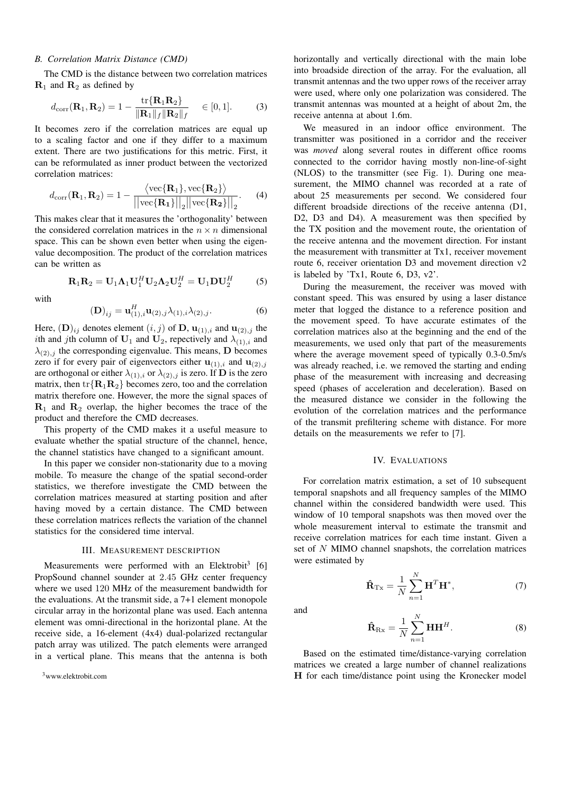# *B. Correlation Matrix Distance (CMD)*

The CMD is the distance between two correlation matrices **R**<sup>1</sup> and **R**<sup>2</sup> as defined by

$$
d_{\text{corr}}(\mathbf{R}_1, \mathbf{R}_2) = 1 - \frac{\text{tr}\{\mathbf{R}_1 \mathbf{R}_2\}}{\|\mathbf{R}_1\|_f \|\mathbf{R}_2\|_f} \quad \in [0, 1]. \tag{3}
$$

It becomes zero if the correlation matrices are equal up to a scaling factor and one if they differ to a maximum extent. There are two justifications for this metric. First, it can be reformulated as inner product between the vectorized correlation matrices:

$$
d_{\text{corr}}(\mathbf{R}_1, \mathbf{R}_2) = 1 - \frac{\langle \text{vec}\{\mathbf{R}_1\}, \text{vec}\{\mathbf{R}_2\} \rangle}{\left| |\text{vec}\{\mathbf{R}_1\}||_2 || \text{vec}\{\mathbf{R}_2\} ||_2} \right|}.
$$
 (4)

This makes clear that it measures the 'orthogonality' between the considered correlation matrices in the  $n \times n$  dimensional space. This can be shown even better when using the eigenvalue decomposition. The product of the correlation matrices can be written as

$$
\mathbf{R}_1 \mathbf{R}_2 = \mathbf{U}_1 \mathbf{\Lambda}_1 \mathbf{U}_1^H \mathbf{U}_2 \mathbf{\Lambda}_2 \mathbf{U}_2^H = \mathbf{U}_1 \mathbf{D} \mathbf{U}_2^H \tag{5}
$$

with

$$
(\mathbf{D})_{ij} = \mathbf{u}_{(1),i}^H \mathbf{u}_{(2),j} \lambda_{(1),i} \lambda_{(2),j}.
$$
 (6)

Here,  $(D)_{ij}$  denotes element  $(i, j)$  of  $D$ ,  $\mathbf{u}_{(1), i}$  and  $\mathbf{u}_{(2), j}$  the ith and jth column of  $U_1$  and  $U_2$ , repectively and  $\lambda_{(1),i}$  and  $\lambda_{(2),j}$  the corresponding eigenvalue. This means, **D** becomes zero if for every pair of eigenvectors either  $\mathbf{u}_{(1),i}$  and  $\mathbf{u}_{(2),j}$ are orthogonal or either  $\lambda_{(1),i}$  or  $\lambda_{(2),j}$  is zero. If **D** is the zero matrix, then  $\text{tr}\{\mathbf{R}_1\mathbf{R}_2\}$  becomes zero, too and the correlation matrix therefore one. However, the more the signal spaces of  $\mathbf{R}_1$  and  $\mathbf{R}_2$  overlap, the higher becomes the trace of the product and therefore the CMD decreases.

This property of the CMD makes it a useful measure to evaluate whether the spatial structure of the channel, hence, the channel statistics have changed to a significant amount.

In this paper we consider non-stationarity due to a moving mobile. To measure the change of the spatial second-order statistics, we therefore investigate the CMD between the correlation matrices measured at starting position and after having moved by a certain distance. The CMD between these correlation matrices reflects the variation of the channel statistics for the considered time interval.

# III. MEASUREMENT DESCRIPTION

Measurements were performed with an Elektrobit<sup>3</sup> [6] PropSound channel sounder at 2.45 GHz center frequency where we used 120 MHz of the measurement bandwidth for the evaluations. At the transmit side, a 7+1 element monopole circular array in the horizontal plane was used. Each antenna element was omni-directional in the horizontal plane. At the receive side, a 16-element (4x4) dual-polarized rectangular patch array was utilized. The patch elements were arranged in a vertical plane. This means that the antenna is both

 $3$ www.elektrobit.com

horizontally and vertically directional with the main lobe into broadside direction of the array. For the evaluation, all transmit antennas and the two upper rows of the receiver array were used, where only one polarization was considered. The transmit antennas was mounted at a height of about 2m, the receive antenna at about 1.6m.

We measured in an indoor office environment. The transmitter was positioned in a corridor and the receiver was *moved* along several routes in different office rooms connected to the corridor having mostly non-line-of-sight (NLOS) to the transmitter (see Fig. 1). During one measurement, the MIMO channel was recorded at a rate of about 25 measurements per second. We considered four different broadside directions of the receive antenna (D1, D2, D3 and D4). A measurement was then specified by the TX position and the movement route, the orientation of the receive antenna and the movement direction. For instant the measurement with transmitter at Tx1, receiver movement route 6, receiver orientation D3 and movement direction v2 is labeled by 'Tx1, Route 6, D3, v2'.

During the measurement, the receiver was moved with constant speed. This was ensured by using a laser distance meter that logged the distance to a reference position and the movement speed. To have accurate estimates of the correlation matrices also at the beginning and the end of the measurements, we used only that part of the measurements where the average movement speed of typically 0.3-0.5m/s was already reached, i.e. we removed the starting and ending phase of the measurement with increasing and decreasing speed (phases of acceleration and deceleration). Based on the measured distance we consider in the following the evolution of the correlation matrices and the performance of the transmit prefiltering scheme with distance. For more details on the measurements we refer to [7].

# IV. EVALUATIONS

For correlation matrix estimation, a set of 10 subsequent temporal snapshots and all frequency samples of the MIMO channel within the considered bandwidth were used. This window of 10 temporal snapshots was then moved over the whole measurement interval to estimate the transmit and receive correlation matrices for each time instant. Given a set of N MIMO channel snapshots, the correlation matrices were estimated by

$$
\hat{\mathbf{R}}_{\mathrm{Tx}} = \frac{1}{N} \sum_{n=1}^{N} \mathbf{H}^T \mathbf{H}^*,
$$
\n(7)

and

$$
\hat{\mathbf{R}}_{\text{Rx}} = \frac{1}{N} \sum_{n=1}^{N} \mathbf{H} \mathbf{H}^{H}.
$$
 (8)

Based on the estimated time/distance-varying correlation matrices we created a large number of channel realizations **H** for each time/distance point using the Kronecker model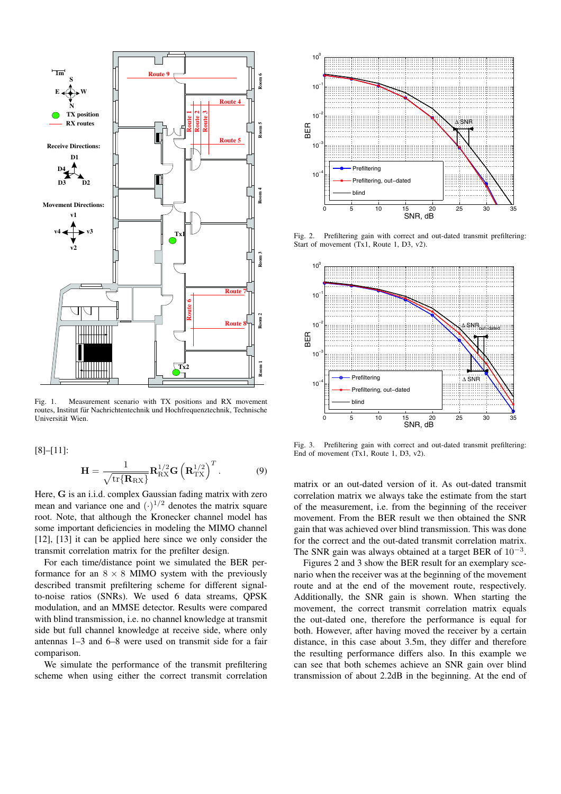

Fig. 1. Measurement scenario with TX positions and RX movement routes, Institut fur Nachrichtentechnik und Hochfrequenztechnik, Technische ¨ Universität Wien.

[8]–[11]:

$$
\mathbf{H} = \frac{1}{\sqrt{\text{tr}\{\mathbf{R}_{\text{RX}}\}}} \mathbf{R}_{\text{RX}}^{1/2} \mathbf{G} \left(\mathbf{R}_{\text{TX}}^{1/2}\right)^{T}.
$$
 (9)

Here, **G** is an i.i.d. complex Gaussian fading matrix with zero mean and variance one and  $(\cdot)^{1/2}$  denotes the matrix square root. Note, that although the Kronecker channel model has some important deficiencies in modeling the MIMO channel [12], [13] it can be applied here since we only consider the transmit correlation matrix for the prefilter design.

For each time/distance point we simulated the BER performance for an  $8 \times 8$  MIMO system with the previously described transmit prefiltering scheme for different signalto-noise ratios (SNRs). We used 6 data streams, QPSK modulation, and an MMSE detector. Results were compared with blind transmission, i.e. no channel knowledge at transmit side but full channel knowledge at receive side, where only antennas 1–3 and 6–8 were used on transmit side for a fair comparison.

We simulate the performance of the transmit prefiltering scheme when using either the correct transmit correlation



Fig. 2. Prefiltering gain with correct and out-dated transmit prefiltering: Start of movement (Tx1, Route 1, D3, v2).



Fig. 3. Prefiltering gain with correct and out-dated transmit prefiltering: End of movement (Tx1, Route 1, D3, v2).

matrix or an out-dated version of it. As out-dated transmit correlation matrix we always take the estimate from the start of the measurement, i.e. from the beginning of the receiver movement. From the BER result we then obtained the SNR gain that was achieved over blind transmission. This was done for the correct and the out-dated transmit correlation matrix. The SNR gain was always obtained at a target BER of  $10^{-3}$ .

Figures 2 and 3 show the BER result for an exemplary scenario when the receiver was at the beginning of the movement route and at the end of the movement route, respectively. Additionally, the SNR gain is shown. When starting the movement, the correct transmit correlation matrix equals the out-dated one, therefore the performance is equal for both. However, after having moved the receiver by a certain distance, in this case about 3.5m, they differ and therefore the resulting performance differs also. In this example we can see that both schemes achieve an SNR gain over blind transmission of about 2.2dB in the beginning. At the end of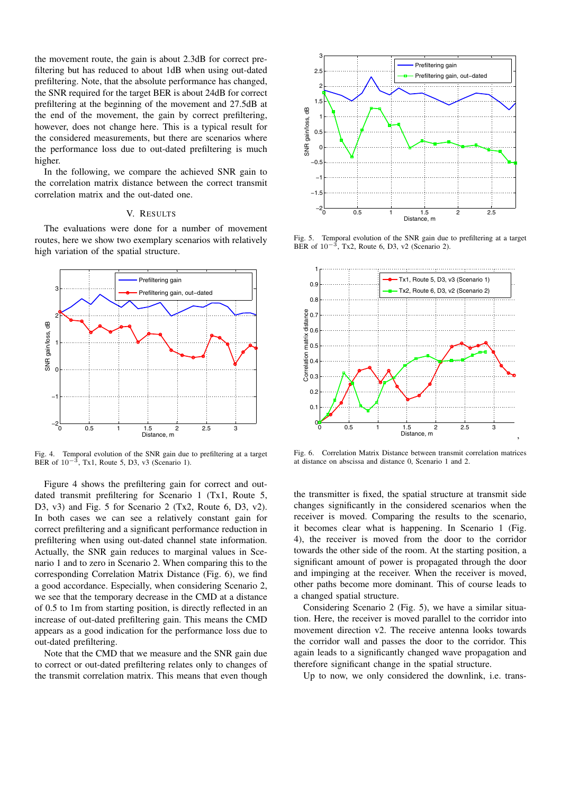the movement route, the gain is about 2.3dB for correct prefiltering but has reduced to about 1dB when using out-dated prefiltering. Note, that the absolute performance has changed, the SNR required for the target BER is about 24dB for correct prefiltering at the beginning of the movement and 27.5dB at the end of the movement, the gain by correct prefiltering, however, does not change here. This is a typical result for the considered measurements, but there are scenarios where the performance loss due to out-dated prefiltering is much higher.

In the following, we compare the achieved SNR gain to the correlation matrix distance between the correct transmit correlation matrix and the out-dated one.

# V. RESULTS

The evaluations were done for a number of movement routes, here we show two exemplary scenarios with relatively high variation of the spatial structure.



Fig. 4. Temporal evolution of the SNR gain due to prefiltering at a target BER of  $10^{-3}$ , Tx1, Route 5, D3, v3 (Scenario 1).

Figure 4 shows the prefiltering gain for correct and outdated transmit prefiltering for Scenario 1 (Tx1, Route 5, D3, v3) and Fig. 5 for Scenario 2 (Tx2, Route 6, D3, v2). In both cases we can see a relatively constant gain for correct prefiltering and a significant performance reduction in prefiltering when using out-dated channel state information. Actually, the SNR gain reduces to marginal values in Scenario 1 and to zero in Scenario 2. When comparing this to the corresponding Correlation Matrix Distance (Fig. 6), we find a good accordance. Especially, when considering Scenario 2, we see that the temporary decrease in the CMD at a distance of 0.5 to 1m from starting position, is directly reflected in an increase of out-dated prefiltering gain. This means the CMD appears as a good indication for the performance loss due to out-dated prefiltering.

Note that the CMD that we measure and the SNR gain due to correct or out-dated prefiltering relates only to changes of the transmit correlation matrix. This means that even though



Fig. 5. Temporal evolution of the SNR gain due to prefiltering at a target BER of  $10^{-3}$ , Tx2, Route 6, D3, v2 (Scenario 2).



Fig. 6. Correlation Matrix Distance between transmit correlation matrices at distance on abscissa and distance 0, Scenario 1 and 2.

the transmitter is fixed, the spatial structure at transmit side changes significantly in the considered scenarios when the receiver is moved. Comparing the results to the scenario, it becomes clear what is happening. In Scenario 1 (Fig. 4), the receiver is moved from the door to the corridor towards the other side of the room. At the starting position, a significant amount of power is propagated through the door and impinging at the receiver. When the receiver is moved, other paths become more dominant. This of course leads to a changed spatial structure.

Considering Scenario 2 (Fig. 5), we have a similar situation. Here, the receiver is moved parallel to the corridor into movement direction v2. The receive antenna looks towards the corridor wall and passes the door to the corridor. This again leads to a significantly changed wave propagation and therefore significant change in the spatial structure.

Up to now, we only considered the downlink, i.e. trans-